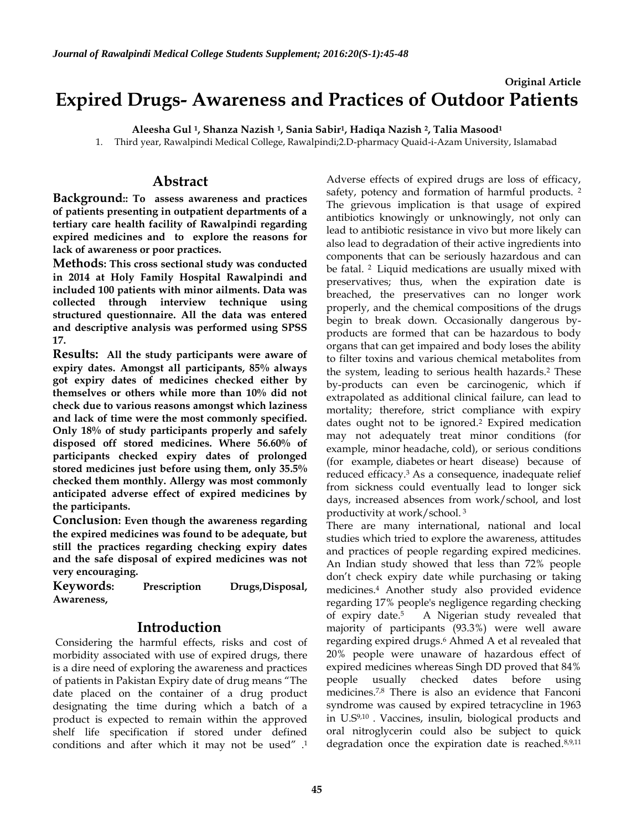# **Original Article Expired Drugs- Awareness and Practices of Outdoor Patients**

**Aleesha Gul <sup>1</sup> , Shanza Nazish <sup>1</sup> , Sania Sabir<sup>1</sup> , Hadiqa Nazish <sup>2</sup> , Talia Masood<sup>1</sup>**

1. Third year, Rawalpindi Medical College, Rawalpindi;2.D-pharmacy Quaid-i-Azam University, Islamabad

## **Abstract**

**Background:: To assess awareness and practices of patients presenting in outpatient departments of a tertiary care health facility of Rawalpindi regarding expired medicines and to explore the reasons for lack of awareness or poor practices.** 

**Methods: This cross sectional study was conducted in 2014 at Holy Family Hospital Rawalpindi and included 100 patients with minor ailments. Data was collected through interview technique using structured questionnaire. All the data was entered and descriptive analysis was performed using SPSS 17.** 

**Results: All the study participants were aware of expiry dates. Amongst all participants, 85% always got expiry dates of medicines checked either by themselves or others while more than 10% did not check due to various reasons amongst which laziness and lack of time were the most commonly specified. Only 18% of study participants properly and safely disposed off stored medicines. Where 56.60% of participants checked expiry dates of prolonged stored medicines just before using them, only 35.5% checked them monthly. Allergy was most commonly anticipated adverse effect of expired medicines by the participants.**

**Conclusion: Even though the awareness regarding the expired medicines was found to be adequate, but still the practices regarding checking expiry dates and the safe disposal of expired medicines was not very encouraging.**

**Keywords: Prescription Drugs,Disposal, Awareness,** 

# **Introduction**

Considering the harmful effects, risks and cost of morbidity associated with use of expired drugs, there is a dire need of exploring the awareness and practices of patients in Pakistan Expiry date of drug means "The date placed on the container of a drug product designating the time during which a batch of a product is expected to remain within the approved shelf life specification if stored under defined conditions and after which it may not be used" . 1 Adverse effects of expired drugs are loss of efficacy, safety, potency and formation of harmful products.<sup>2</sup> The grievous implication is that usage of expired antibiotics knowingly or unknowingly, not only can lead to antibiotic resistance in vivo but more likely can also lead to degradation of their active ingredients into components that can be seriously hazardous and can be fatal. 2 Liquid medications are usually mixed with preservatives; thus, when the expiration date is breached, the preservatives can no longer work properly, and the chemical compositions of the drugs begin to break down. Occasionally dangerous byproducts are formed that can be hazardous to body organs that can get impaired and body loses the ability to filter toxins and various chemical metabolites from the system, leading to serious health hazards.<sup>2</sup> These by-products can even be carcinogenic, which if extrapolated as additional clinical failure, can lead to mortality; therefore, strict compliance with expiry dates ought not to be ignored.<sup>2</sup> Expired medication may not adequately treat minor conditions (for example, minor [headache,](http://www.rxlist.com/script/main/art.asp?articlekey=20628) [cold\)](http://www.rxlist.com/script/main/art.asp?articlekey=330), or serious conditions (for example, [diabetes](http://www.rxlist.com/script/main/art.asp?articlekey=343) or heart [disease\)](http://www.rxlist.com/script/main/art.asp?articlekey=9749) because of reduced efficacy.3 As a consequence, inadequate relief from sickness could eventually lead to longer sick days, increased absences from work/school, and lost productivity at work/school. 3

There are many international, national and local studies which tried to explore the awareness, attitudes and practices of people regarding expired medicines. An Indian study showed that less than 72% people don't check expiry date while purchasing or taking medicines.4 Another study also provided evidence regarding 17% people's negligence regarding checking of expiry date.<sup>5</sup> A Nigerian study revealed that majority of participants (93.3%) were well aware regarding expired drugs. <sup>6</sup> Ahmed A et al revealed that 20% people were unaware of hazardous effect of expired medicines whereas Singh DD proved that 84% people usually checked dates before using medicines.7,8 There is also an evidence that Fanconi syndrome was caused by expired tetracycline in 1963 in U.S9,10 . Vaccines, insulin, biological products and oral nitroglycerin could also be subject to quick degradation once the expiration date is reached.8,9,11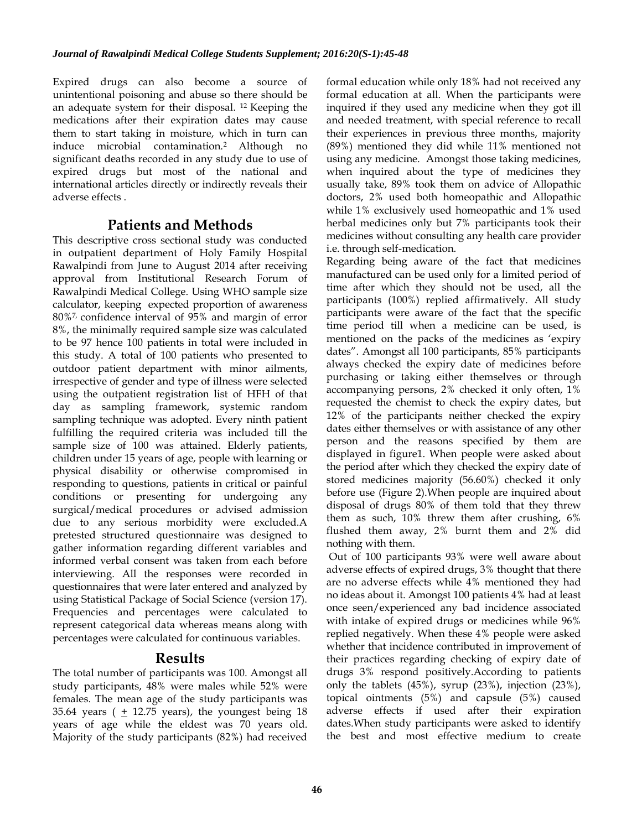Expired drugs can also become a source of unintentional poisoning and abuse so there should be an adequate system for their disposal. 12 Keeping the medications after their expiration dates may cause them to start taking in moisture, which in turn can induce microbial contamination.2 Although no significant deaths recorded in any study due to use of expired drugs but most of the national and international articles directly or indirectly reveals their adverse effects .

## **Patients and Methods**

This descriptive cross sectional study was conducted in outpatient department of Holy Family Hospital Rawalpindi from June to August 2014 after receiving approval from Institutional Research Forum of Rawalpindi Medical College. Using WHO sample size calculator, keeping expected proportion of awareness 80%7, confidence interval of 95% and margin of error 8%, the minimally required sample size was calculated to be 97 hence 100 patients in total were included in this study. A total of 100 patients who presented to outdoor patient department with minor ailments, irrespective of gender and type of illness were selected using the outpatient registration list of HFH of that day as sampling framework, systemic random sampling technique was adopted. Every ninth patient fulfilling the required criteria was included till the sample size of 100 was attained. Elderly patients, children under 15 years of age, people with learning or physical disability or otherwise compromised in responding to questions, patients in critical or painful conditions or presenting for undergoing any surgical/medical procedures or advised admission due to any serious morbidity were excluded.A pretested structured questionnaire was designed to gather information regarding different variables and informed verbal consent was taken from each before interviewing. All the responses were recorded in questionnaires that were later entered and analyzed by using Statistical Package of Social Science (version 17). Frequencies and percentages were calculated to represent categorical data whereas means along with percentages were calculated for continuous variables.

### **Results**

The total number of participants was 100. Amongst all study participants, 48% were males while 52% were females. The mean age of the study participants was 35.64 years ( $\pm$  12.75 years), the youngest being 18 years of age while the eldest was 70 years old. Majority of the study participants (82%) had received formal education while only 18% had not received any formal education at all. When the participants were inquired if they used any medicine when they got ill and needed treatment, with special reference to recall their experiences in previous three months, majority (89%) mentioned they did while 11% mentioned not using any medicine. Amongst those taking medicines, when inquired about the type of medicines they usually take, 89% took them on advice of Allopathic doctors, 2% used both homeopathic and Allopathic while 1% exclusively used homeopathic and 1% used herbal medicines only but 7% participants took their medicines without consulting any health care provider i.e. through self-medication.

Regarding being aware of the fact that medicines manufactured can be used only for a limited period of time after which they should not be used, all the participants (100%) replied affirmatively. All study participants were aware of the fact that the specific time period till when a medicine can be used, is mentioned on the packs of the medicines as 'expiry dates". Amongst all 100 participants, 85% participants always checked the expiry date of medicines before purchasing or taking either themselves or through accompanying persons, 2% checked it only often, 1% requested the chemist to check the expiry dates, but 12% of the participants neither checked the expiry dates either themselves or with assistance of any other person and the reasons specified by them are displayed in figure1. When people were asked about the period after which they checked the expiry date of stored medicines majority (56.60%) checked it only before use (Figure 2).When people are inquired about disposal of drugs 80% of them told that they threw them as such, 10% threw them after crushing, 6% flushed them away, 2% burnt them and 2% did nothing with them.

Out of 100 participants 93% were well aware about adverse effects of expired drugs, 3% thought that there are no adverse effects while 4% mentioned they had no ideas about it. Amongst 100 patients 4% had at least once seen/experienced any bad incidence associated with intake of expired drugs or medicines while 96% replied negatively. When these 4% people were asked whether that incidence contributed in improvement of their practices regarding checking of expiry date of drugs 3% respond positively.According to patients only the tablets (45%), syrup (23%), injection (23%), topical ointments (5%) and capsule (5%) caused adverse effects if used after their expiration dates.When study participants were asked to identify the best and most effective medium to create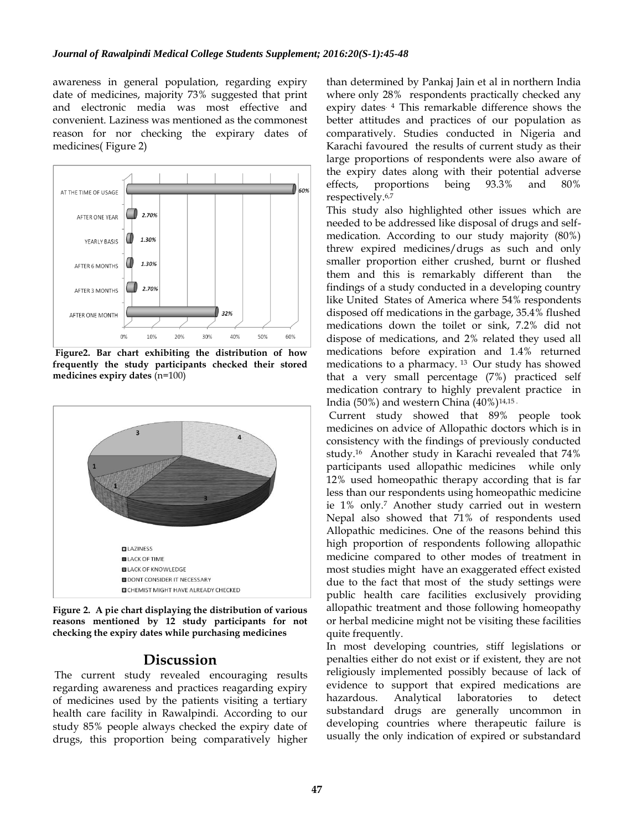awareness in general population, regarding expiry date of medicines, majority 73% suggested that print and electronic media was most effective and convenient. Laziness was mentioned as the commonest reason for nor checking the expirary dates of medicines( Figure 2)



**Figure2. Bar chart exhibiting the distribution of how frequently the study participants checked their stored medicines expiry dates** (n=100)



**Figure 2. A pie chart displaying the distribution of various reasons mentioned by 12 study participants for not checking the expiry dates while purchasing medicines**

#### **Discussion**

The current study revealed encouraging results regarding awareness and practices reagarding expiry of medicines used by the patients visiting a tertiary health care facility in Rawalpindi. According to our study 85% people always checked the expiry date of drugs, this proportion being comparatively higher

than determined by Pankaj Jain et al in northern India where only 28% respondents practically checked any expiry dates. 4 This remarkable difference shows the better attitudes and practices of our population as comparatively. Studies conducted in Nigeria and Karachi favoured the results of current study as their large proportions of respondents were also aware of the expiry dates along with their potential adverse effects, proportions being 93.3% and 80% respectively.6,7

This study also highlighted other issues which are needed to be addressed like disposal of drugs and selfmedication. According to our study majority (80%) threw expired medicines/drugs as such and only smaller proportion either crushed, burnt or flushed them and this is remarkably different than the findings of a study conducted in a developing country like United States of America where 54% respondents disposed off medications in the garbage, 35.4% flushed medications down the toilet or sink, 7.2% did not dispose of medications, and 2% related they used all medications before expiration and 1.4% returned medications to a pharmacy. <sup>13</sup> Our study has showed that a very small percentage (7%) practiced self medication contrary to highly prevalent practice in India (50%) and western China  $(40\%)$ <sup>14,15</sup>

Current study showed that 89% people took medicines on advice of Allopathic doctors which is in consistency with the findings of previously conducted study.<sup>16</sup> Another study in Karachi revealed that 74% participants used allopathic medicines while only 12% used homeopathic therapy according that is far less than our respondents using homeopathic medicine ie 1% only.<sup>7</sup> Another study carried out in western Nepal also showed that 71% of respondents used Allopathic medicines. One of the reasons behind this high proportion of respondents following allopathic medicine compared to other modes of treatment in most studies might have an exaggerated effect existed due to the fact that most of the study settings were public health care facilities exclusively providing allopathic treatment and those following homeopathy or herbal medicine might not be visiting these facilities quite frequently.

In most developing countries, stiff legislations or penalties either do not exist or if existent, they are not religiously implemented possibly because of lack of evidence to support that expired medications are hazardous. Analytical laboratories to detect substandard drugs are generally uncommon in developing countries where therapeutic failure is usually the only indication of expired or substandard